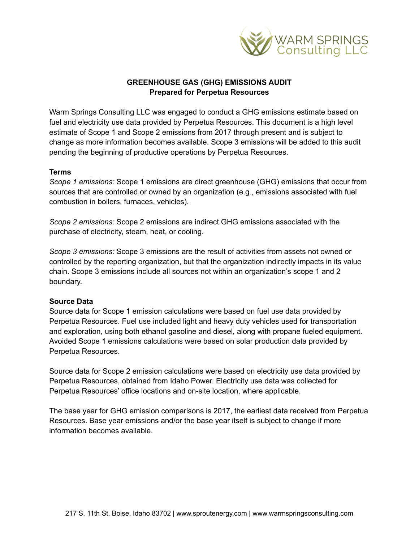

## **GREENHOUSE GAS (GHG) EMISSIONS AUDIT Prepared for Perpetua Resources**

Warm Springs Consulting LLC was engaged to conduct a GHG emissions estimate based on fuel and electricity use data provided by Perpetua Resources. This document is a high level estimate of Scope 1 and Scope 2 emissions from 2017 through present and is subject to change as more information becomes available. Scope 3 emissions will be added to this audit pending the beginning of productive operations by Perpetua Resources.

## **Terms**

*Scope 1 emissions:* Scope 1 emissions are direct greenhouse (GHG) emissions that occur from sources that are controlled or owned by an organization (e.g., emissions associated with fuel combustion in boilers, furnaces, vehicles).

*Scope 2 emissions:* Scope 2 emissions are indirect GHG emissions associated with the purchase of electricity, steam, heat, or cooling.

*Scope 3 emissions:* Scope 3 emissions are the result of activities from assets not owned or controlled by the reporting organization, but that the organization indirectly impacts in its value chain. Scope 3 emissions include all sources not within an organization's scope 1 and 2 boundary.

## **Source Data**

Source data for Scope 1 emission calculations were based on fuel use data provided by Perpetua Resources. Fuel use included light and heavy duty vehicles used for transportation and exploration, using both ethanol gasoline and diesel, along with propane fueled equipment. Avoided Scope 1 emissions calculations were based on solar production data provided by Perpetua Resources.

Source data for Scope 2 emission calculations were based on electricity use data provided by Perpetua Resources, obtained from Idaho Power. Electricity use data was collected for Perpetua Resources' office locations and on-site location, where applicable.

The base year for GHG emission comparisons is 2017, the earliest data received from Perpetua Resources. Base year emissions and/or the base year itself is subject to change if more information becomes available.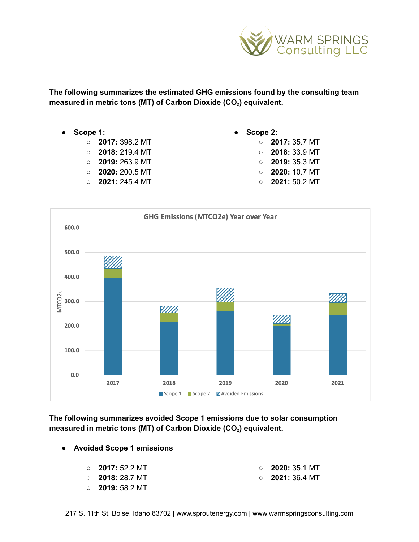

**The following summarizes the estimated GHG emissions found by the consulting team measured in metric tons (MT) of Carbon Dioxide (CO<sup>2</sup> ) equivalent.**

- **Scope 1:**
	- **2017:** 398.2 MT
	- **2018:** 219.4 MT
	- **○ 2019:** 263.9 MT
	- **○ 2020:** 200.5 MT
	- **2021:** 245.4 MT
- **● Scope 2:**
	- **2017:** 35.7 MT ○ **2018:** 33.9 MT ○ **2019:** 35.3 MT ○ **2020:** 10.7 MT ○ **2021:** 50.2 MT



**The following summarizes avoided Scope 1 emissions due to solar consumption measured in metric tons (MT) of Carbon Dioxide (CO<sup>2</sup> ) equivalent.**

**● Avoided Scope 1 emissions**

| $\circ$ 2017: 52.2 MT | $\circ$ 2020: 35.1 MT |
|-----------------------|-----------------------|
| $\circ$ 2018: 28.7 MT | $\circ$ 2021: 36.4 MT |

○ **2019:** 58.2 MT